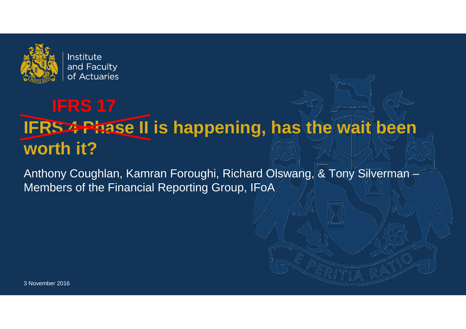

# **IFRS 4 Phase II is happening, has the wait been worth it? IFRS 17**

Anthony Coughlan, Kamran Foroughi, Richard Olswang, & Tony Silverman – Members of the Financial Reporting Group, IFoA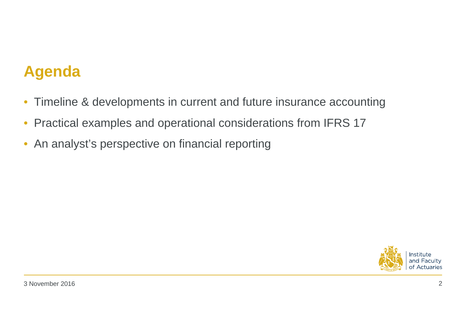# **Agenda**

- $\bullet$ Timeline & developments in current and future insurance accounting
- $\bullet$ Practical examples and operational considerations from IFRS 17
- $\bullet$ An analyst's perspective on financial reporting

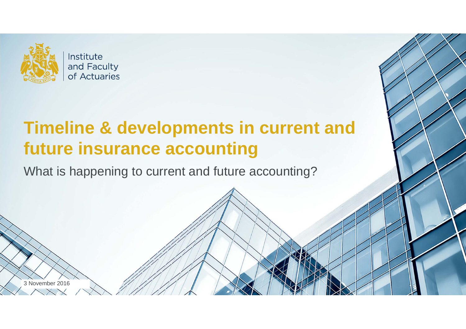

Institute and Faculty of Actuaries

# **Timeline & developments in current and future insurance accounting**

What is happening to current and future accounting?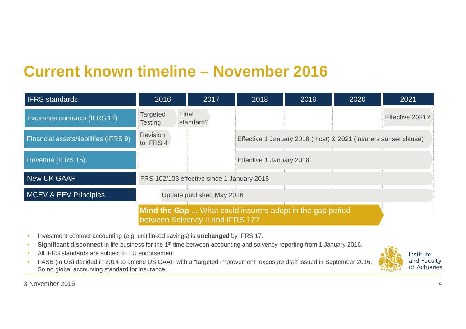## **Current known timeline – November 2016**

| <b>IFRS</b> standards                 | 2016                                | 2017                                       | 2018                     | 2019                                                            | 2020 | 2021            |
|---------------------------------------|-------------------------------------|--------------------------------------------|--------------------------|-----------------------------------------------------------------|------|-----------------|
| Insurance contracts (IFRS 17)         | Final<br><b>Targeted</b><br>Testing | standard?                                  |                          |                                                                 |      | Effective 2021? |
| Financial assets/liabilities (IFRS 9) | <b>Revision</b><br>to IFRS 4        |                                            |                          | Effective 1 January 2018 (most) & 2021 (insurers sunset clause) |      |                 |
| Revenue (IFRS 15)                     |                                     |                                            | Effective 1 January 2018 |                                                                 |      |                 |
| <b>New UK GAAP</b>                    |                                     | FRS 102/103 effective since 1 January 2015 |                          |                                                                 |      |                 |
| MCEV & EEV Principles                 |                                     | Update published May 2016                  |                          |                                                                 |      |                 |
|                                       |                                     | between Solvency II and IFRS 17?           |                          | Mind the Gap  What could insurers adopt in the gap period       |      |                 |

- •Investment contract accounting (e.g. unit linked savings) is **unchanged** by IFRS 17.
- •**Significant disconnect** in life business for the 1<sup>st</sup> time between accounting and solvency reporting from 1 January 2016.
- •All IFRS standards are subject to EU endorsement
- • FASB (in US) decided in 2014 to amend US GAAP with a "targeted improvement" exposure draft issued in September 2016. So no global accounting standard for insurance.

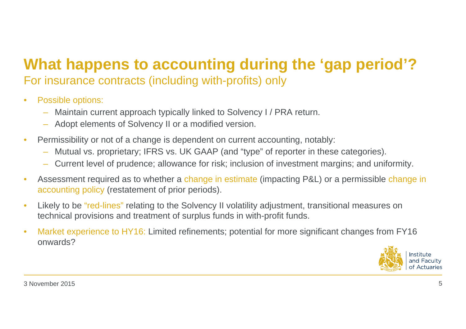## **What happens to accounting during the 'gap period'?** For insurance contracts (including with-profits) only

- $\bullet$  Possible options:
	- Maintain current approach typically linked to Solvency I / PRA return.
	- Adopt elements of Solvency II or a modified version.
- $\bullet$  Permissibility or not of a change is dependent on current accounting, notably:
	- Mutual vs. proprietary; IFRS vs. UK GAAP (and "type" of reporter in these categories).
	- Current level of prudence; allowance for risk; inclusion of investment margins; and uniformity.
- • Assessment required as to whether a change in estimate (impacting P&L) or a permissible change in accounting policy (restatement of prior periods).
- • Likely to be "red-lines" relating to the Solvency II volatility adjustment, transitional measures on technical provisions and treatment of surplus funds in with-profit funds.
- • Market experience to HY16: Limited refinements; potential for more significant changes from FY16 onwards?

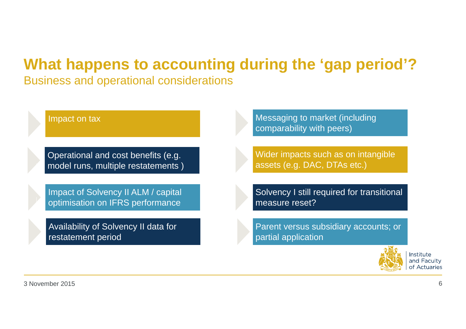# **What happens to accounting during the 'gap period'?**

Business and operational considerations

Impact on tax

Operational and cost benefits (e.g. model runs, multiple restatements )

Impact of Solvency II ALM / capital optimisation on IFRS performance

Availability of Solvency II data for restatement period

Messaging to market (including comparability with peers)

Wider impacts such as on intangible assets (e.g. DAC, DTAs etc.)

Solvency I still required for transitional measure reset?

Parent versus subsidiary accounts; or partial application

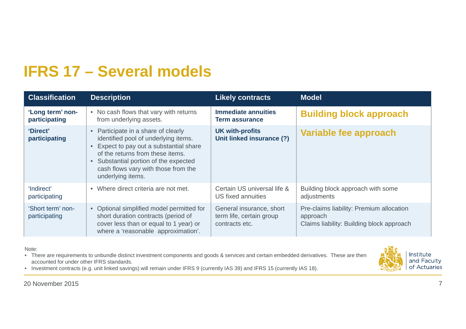# **IFRS 17 – Several models**

| <b>Classification</b>              | <b>Description</b>                                                                                                                                                                                                                                                                  | <b>Likely contracts</b>                                                | <b>Model</b>                                                                                      |
|------------------------------------|-------------------------------------------------------------------------------------------------------------------------------------------------------------------------------------------------------------------------------------------------------------------------------------|------------------------------------------------------------------------|---------------------------------------------------------------------------------------------------|
| 'Long term' non-<br>participating  | No cash flows that vary with returns<br>$\bullet$<br>from underlying assets.                                                                                                                                                                                                        | <b>Immediate annuities</b><br><b>Term assurance</b>                    | <b>Building block approach</b>                                                                    |
| 'Direct'<br>participating          | Participate in a share of clearly<br>$\bullet$<br>identified pool of underlying items.<br>Expect to pay out a substantial share<br>of the returns from these items.<br>Substantial portion of the expected<br>$\bullet$<br>cash flows vary with those from the<br>underlying items. | <b>UK with-profits</b><br>Unit linked insurance (?)                    | Variable fee approach                                                                             |
| 'Indirect'<br>participating        | Where direct criteria are not met.<br>$\bullet$                                                                                                                                                                                                                                     | Certain US universal life &<br>US fixed annuities                      | Building block approach with some<br>adjustments                                                  |
| 'Short term' non-<br>participating | • Optional simplified model permitted for<br>short duration contracts (period of<br>cover less than or equal to 1 year) or<br>where a 'reasonable approximation'.                                                                                                                   | General insurance, short<br>term life, certain group<br>contracts etc. | Pre-claims liability: Premium allocation<br>approach<br>Claims liability: Building block approach |

Note:

• There are requirements to unbundle distinct investment components and goods & services and certain embedded derivatives. These are then accounted for under other IFRS standards.



• Investment contracts (e.g. unit linked savings) will remain under IFRS 9 (currently IAS 39) and IFRS 15 (currently IAS 18).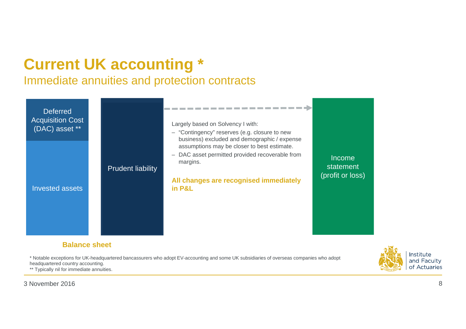# **Current UK accounting \***

### Immediate annuities and protection contracts



#### **Balance sheet**

\* Notable exceptions for UK-headquartered bancassurers who adopt EV-accounting and some UK subsidiaries of overseas companies who adopt headquartered country accounting. \*\* Typically nil for immediate annuities.

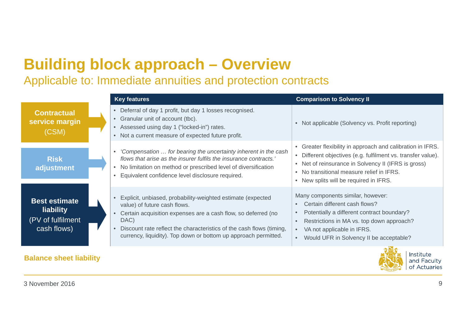# **Building block approach – Overview**

### Applicable to: Immediate annuities and protection contracts

|                                                                       | <b>Key features</b>                                                                                                                                                                                                                                                                                                          | <b>Comparison to Solvency II</b>                                                                                                                                                                                                                                         |
|-----------------------------------------------------------------------|------------------------------------------------------------------------------------------------------------------------------------------------------------------------------------------------------------------------------------------------------------------------------------------------------------------------------|--------------------------------------------------------------------------------------------------------------------------------------------------------------------------------------------------------------------------------------------------------------------------|
| <b>Contractual</b><br>service margin<br>(CSM)                         | • Deferral of day 1 profit, but day 1 losses recognised.<br>• Granular unit of account (tbc).<br>• Assessed using day 1 ("locked-in") rates.<br>Not a current measure of expected future profit.<br>$\bullet$                                                                                                                | • Not applicable (Solvency vs. Profit reporting)                                                                                                                                                                                                                         |
| <b>Risk</b><br>adjustment                                             | 'Compensation  for bearing the uncertainty inherent in the cash<br>$\bullet$<br>flows that arise as the insurer fulfils the insurance contracts.'<br>No limitation on method or prescribed level of diversification<br>Equivalent confidence level disclosure required.                                                      | • Greater flexibility in approach and calibration in IFRS.<br>• Different objectives (e.g. fulfilment vs. transfer value).<br>• Net of reinsurance in Solvency II (IFRS is gross)<br>• No transitional measure relief in IFRS.<br>• New splits will be required in IFRS. |
| <b>Best estimate</b><br>liability<br>(PV of fulfilment<br>cash flows) | Explicit, unbiased, probability-weighted estimate (expected<br>value) of future cash flows.<br>Certain acquisition expenses are a cash flow, so deferred (no<br>DAC)<br>Discount rate reflect the characteristics of the cash flows (timing,<br>$\bullet$<br>currency, liquidity). Top down or bottom up approach permitted. | Many components similar, however:<br>Certain different cash flows?<br>Potentially a different contract boundary?<br>Restrictions in MA vs. top down approach?<br>VA not applicable in IFRS.<br>$\bullet$<br>Would UFR in Solvency II be acceptable?<br>$\bullet$         |
| <b>Balance sheet liability</b>                                        |                                                                                                                                                                                                                                                                                                                              | Institute<br>and Faculty                                                                                                                                                                                                                                                 |

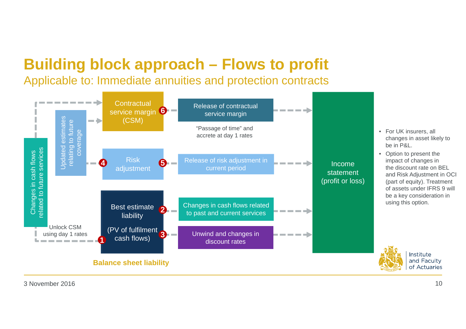# **Building block approach – Flows to profit**

Applicable to: Immediate annuities and protection contracts



• Option to present the impact of changes in the discount rate on BEL and Risk Adjustment in OCI (part of equity). Treatment of assets under IFRS 9 will be a key consideration in using this option.

> Institute and Faculty of Actuaries

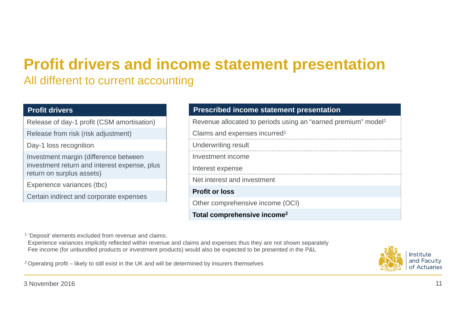# **Profit drivers and income statement presentation**

### All different to current accounting

#### **Profit drivers**

Release of day-1 profit (CSM amortisation)

Release from risk (risk adjustment)

Day-1 loss recognition

Investment margin (difference between investment return and interest expense, plus return on surplus assets)

Experience variances (tbc)

Certain indirect and corporate expenses

#### **Prescribed income statement presentation**

Revenue allocated to periods using an "earned premium" model1

Claims and expenses incurred1

| Total comprehensive income <sup>2</sup> |
|-----------------------------------------|
| Other comprehensive income (OCI)        |
| <b>Profit or loss</b>                   |
| Net interest and investment             |
| Interest expense                        |
| Investment income                       |
| Underwriting result                     |
|                                         |

<sup>1</sup> 'Deposit' elements excluded from revenue and claims.

Experience variances implicitly reflected within revenue and claims and expenses thus they are not shown separately Fee income (for unbundled products or investment products) would also be expected to be presented in the P&L

 $2$  Operating profit – likely to still exist in the UK and will be determined by insurers themselves

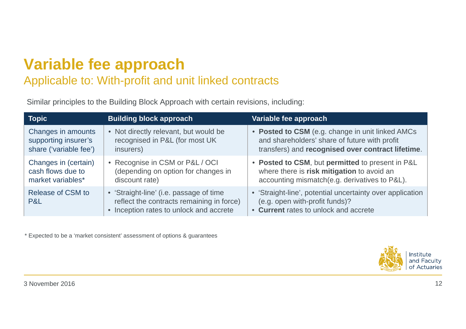# **Variable fee approach**

### Applicable to: With-profit and unit linked contracts

Similar principles to the Building Block Approach with certain revisions, including:

| <b>Topic</b>             | <b>Building block approach</b>                                                                                                  | Variable fee approach                                                                                                                |
|--------------------------|---------------------------------------------------------------------------------------------------------------------------------|--------------------------------------------------------------------------------------------------------------------------------------|
| Changes in amounts       | • Not directly relevant, but would be                                                                                           | • Posted to CSM (e.g. change in unit linked AMCs                                                                                     |
| supporting insurer's     | recognised in P&L (for most UK                                                                                                  | and shareholders' share of future with profit                                                                                        |
| share ('variable fee')   | insurers)                                                                                                                       | transfers) and recognised over contract lifetime.                                                                                    |
| Changes in (certain)     | • Recognise in CSM or P&L / OCI                                                                                                 | • Posted to CSM, but permitted to present in P&L                                                                                     |
| cash flows due to        | (depending on option for changes in                                                                                             | where there is risk mitigation to avoid an                                                                                           |
| market variables*        | discount rate)                                                                                                                  | accounting mismatch(e.g. derivatives to P&L).                                                                                        |
| Release of CSM to<br>P&L | • 'Straight-line' (i.e. passage of time<br>reflect the contracts remaining in force)<br>• Inception rates to unlock and accrete | • 'Straight-line', potential uncertainty over application<br>(e.g. open with-profit funds)?<br>• Current rates to unlock and accrete |

\* Expected to be a 'market consistent' assessment of options & guarantees

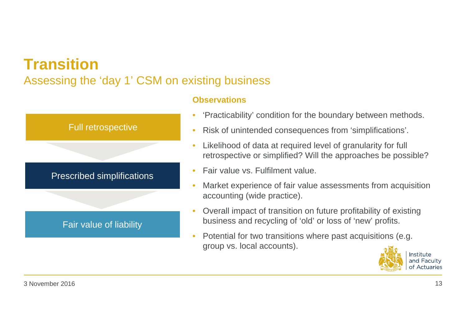# **Transition**

### Assessing the 'day 1' CSM on existing business



#### **Observations**

- •'Practicability' condition for the boundary between methods.
- •Risk of unintended consequences from 'simplifications'.
- • Likelihood of data at required level of granularity for full retrospective or simplified? Will the approaches be possible?
- •Fair value vs. Fulfilment value.
- • Market experience of fair value assessments from acquisition accounting (wide practice).
- • Overall impact of transition on future profitability of existing business and recycling of 'old' or loss of 'new' profits.
- • Potential for two transitions where past acquisitions (e.g. group vs. local accounts).

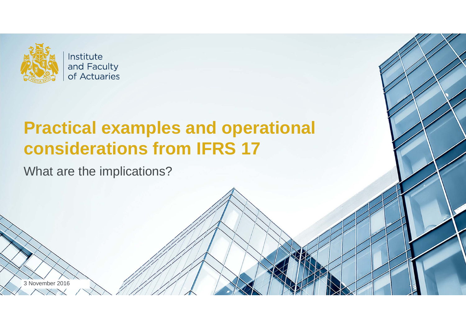

Institute and Faculty of Actuaries

# **Practical examples and operational considerations from IFRS 17**

What are the implications?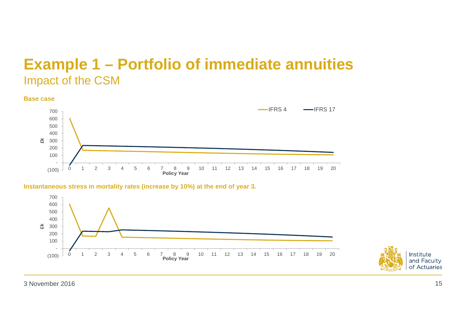## **Example 1 – Portfolio of immediate annuities** Impact of the CSM

#### **Base case** (100) - 100 200 300 400 500 600 7000 1 2 3 4 5 6 7 8 9 10 11 12 13 14 15 16 17 18 19 20**£k Policy Year**  $-IFRS<sub>4</sub>$  $-$ IFRS 17

#### **Instantaneous stress in mortality rates (increase by 10%) at the end of year 3.**



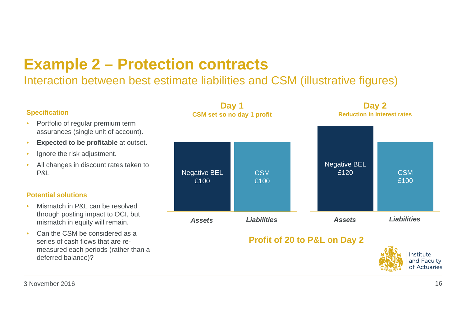# **Example 2 – Protection contracts**

### Interaction between best estimate liabilities and CSM (illustrative figures)

#### **Specification**

- • Portfolio of regular premium term assurances (single unit of account).
- •**Expected to be profitable** at outset.
- •Ignore the risk adjustment.
- • All changes in discount rates taken to P&L

#### **Potential solutions**

- • Mismatch in P&L can be resolved through posting impact to OCI, but mismatch in equity will remain.
- • Can the CSM be considered as a series of cash flows that are remeasured each periods (rather than a deferred balance)?

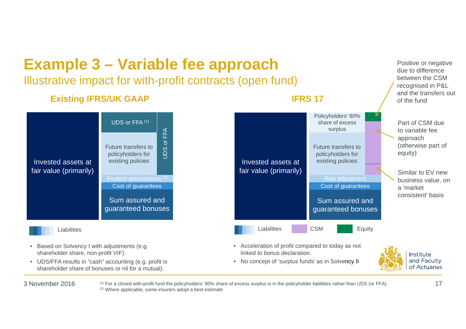

3 November 2016

 $6 \pm 1$  For a closed with-profit fund the policyholders' 90% share of excess surplus is in the policyholder liabilities rather than UDS (or FFA)  $17$ (2) Where applicable, some insurers adopt a best estimate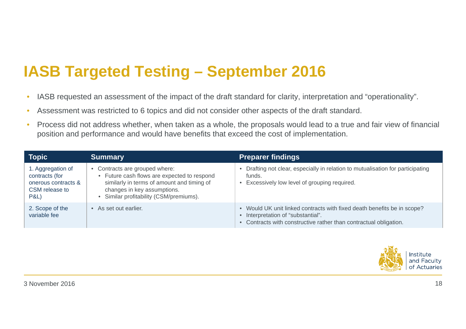# **IASB Targeted Testing – September 2016**

- •IASB requested an assessment of the impact of the draft standard for clarity, interpretation and "operationality".
- •Assessment was restricted to 6 topics and did not consider other aspects of the draft standard.
- • Process did not address whether, when taken as a whole, the proposals would lead to a true and fair view of financial position and performance and would have benefits that exceed the cost of implementation.

| Topic                                                                                           | <b>Summary</b>                                                                                                                                                                                                 | <b>Preparer findings</b>                                                                                                                                                     |
|-------------------------------------------------------------------------------------------------|----------------------------------------------------------------------------------------------------------------------------------------------------------------------------------------------------------------|------------------------------------------------------------------------------------------------------------------------------------------------------------------------------|
| 1. Aggregation of<br>contracts (for<br>onerous contracts &<br>CSM release to<br><b>P&amp;L)</b> | • Contracts are grouped where:<br>Future cash flows are expected to respond<br>$\bullet$<br>similarly in terms of amount and timing of<br>changes in key assumptions.<br>Similar profitability (CSM/premiums). | Drafting not clear, especially in relation to mutualisation for participating<br>funds.<br>Excessively low level of grouping required.                                       |
| 2. Scope of the<br>variable fee                                                                 | • As set out earlier.                                                                                                                                                                                          | Would UK unit linked contracts with fixed death benefits be in scope?<br>Interpretation of "substantial".<br>Contracts with constructive rather than contractual obligation. |

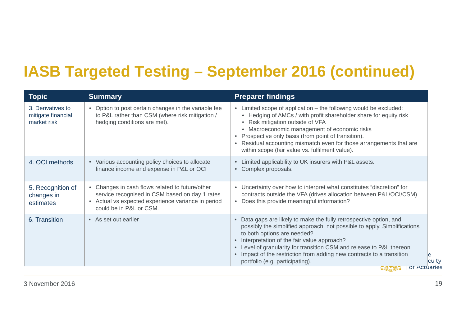# **IASB Targeted Testing – September 2016 (continued)**

| <b>Topic</b>                                           | <b>Summary</b>                                                                                                                                                                    | <b>Preparer findings</b>                                                                                                                                                                                                                                                                                                                                                                                                                          |
|--------------------------------------------------------|-----------------------------------------------------------------------------------------------------------------------------------------------------------------------------------|---------------------------------------------------------------------------------------------------------------------------------------------------------------------------------------------------------------------------------------------------------------------------------------------------------------------------------------------------------------------------------------------------------------------------------------------------|
| 3. Derivatives to<br>mitigate financial<br>market risk | • Option to post certain changes in the variable fee<br>to P&L rather than CSM (where risk mitigation /<br>hedging conditions are met).                                           | • Limited scope of application – the following would be excluded:<br>• Hedging of AMCs / with profit shareholder share for equity risk<br>• Risk mitigation outside of VFA<br>• Macroeconomic management of economic risks<br>Prospective only basis (from point of transition).<br>Residual accounting mismatch even for those arrangements that are<br>within scope (fair value vs. fulfilment value).                                          |
| 4. OCI methods                                         | • Various accounting policy choices to allocate<br>finance income and expense in P&L or OCI                                                                                       | • Limited applicability to UK insurers with P&L assets.<br>• Complex proposals.                                                                                                                                                                                                                                                                                                                                                                   |
| 5. Recognition of<br>changes in<br>estimates           | Changes in cash flows related to future/other<br>service recognised in CSM based on day 1 rates.<br>• Actual vs expected experience variance in period<br>could be in P&L or CSM. | • Uncertainty over how to interpret what constitutes "discretion" for<br>contracts outside the VFA (drives allocation between P&L/OCI/CSM).<br>Does this provide meaningful information?                                                                                                                                                                                                                                                          |
| 6. Transition                                          | • As set out earlier                                                                                                                                                              | Data gaps are likely to make the fully retrospective option, and<br>$\bullet$<br>possibly the simplified approach, not possible to apply. Simplifications<br>to both options are needed?<br>Interpretation of the fair value approach?<br>$\bullet$<br>• Level of granularity for transition CSM and release to P&L thereon.<br>• Impact of the restriction from adding new contracts to a transition<br>culty<br>portfolio (e.g. participating). |
|                                                        |                                                                                                                                                                                   | or Actuaries<br><b>CONTROL</b>                                                                                                                                                                                                                                                                                                                                                                                                                    |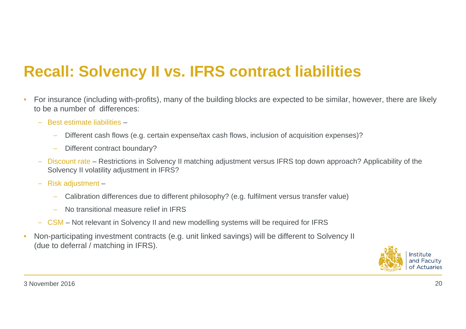# **Recall: Solvency II vs. IFRS contract liabilities**

- • For insurance (including with-profits), many of the building blocks are expected to be similar, however, there are likely to be a number of differences:
	- − Best estimate liabilities –
		- −Different cash flows (e.g. certain expense/tax cash flows, inclusion of acquisition expenses)?
		- Different contract boundary?
	- − Discount rate – Restrictions in Solvency II matching adjustment versus IFRS top down approach? Applicability of the Solvency II volatility adjustment in IFRS?
	- − Risk adjustment
		- −Calibration differences due to different philosophy? (e.g. fulfilment versus transfer value)
		- No transitional measure relief in IFRS
	- − CSM Not relevant in Solvency II and new modelling systems will be required for IFRS
- • Non-participating investment contracts (e.g. unit linked savings) will be different to Solvency II (due to deferral / matching in IFRS).

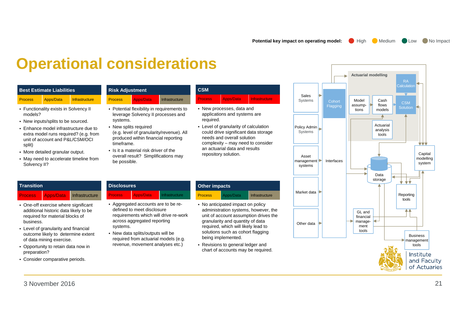**Potential key impact on operating model:** High Medium Low No Impact

## **Operational considerations**

#### **Best Estimate Liabilities**

#### Process Apps/Data Infrastructure

- Functionality exists in Solvency II models?
- New inputs/splits to be sourced.
- Enhance model infrastructure due to extra model runs required? (e.g. from unit of account and P&L/CSM/OCI split)
- More detailed granular output.

**Transition**

• May need to accelerate timeline from Solvency II?

| <b>Risk Adjustment</b> |                  |                |
|------------------------|------------------|----------------|
| <b>Process</b>         | <b>Apps/Data</b> | Infrastructure |

- Potential flexibility in requirements to leverage Solvency II processes and systems.
- New splits required (e.g. level of granularity/revenue). All produced within financial reporting timeframe.
- Is it a material risk driver of the overall result? Simplifications may be possible.

• Aggregated accounts are to be redefined to meet disclosure

across aggregated reporting

• New data splits/outputs will be required from actuarial models (e.g. revenue, movement analyses etc.)

**Disclosures**

systems.

| <b>CSM</b>     |           |                             |  |
|----------------|-----------|-----------------------------|--|
| <b>Process</b> | Apps/Data | Unfrastructure <sup>1</sup> |  |

- New processes, data and applications and systems are required.
- Level of granularity of calculation could drive significant data storage needs and overall solution complexity – may need to consider an actuarial data and results repository solution.

# **Process Apps/Data** Infrastructure

- One-off exercise where significant additional historic data likely to be required for material blocks of business.
- Level of granularity and financial outcome likely to determine extent of data mining exercise.
- Opportunity to retain data now in preparation?
- Consider comparative periods.

#### **Process Apps/Data** Infrastructure **Other impacts**

- requirements which will drive re-work **Process** Apps/Data Infrastructure • No anticipated impact on policy administration systems, however, the unit of account assumption drives the
	- granularity and quantity of data required, which will likely lead to solutions such as cohort flagging being implemented.
	- Revisions to general ledger and chart of accounts may be required.

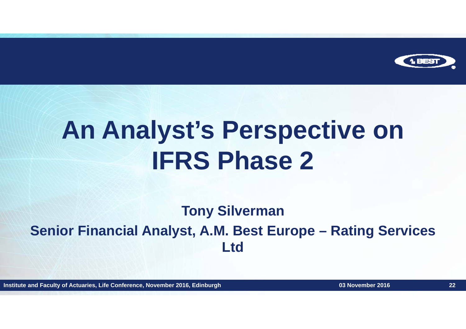

# **An Analyst's Perspective on IFRS Phase 2**

## **Tony Silverman Senior Financial Analyst, A.M. Best Europe – Rating Services Ltd**

**Institute and Faculty of Actuaries, Life Conference, November 2016, Edinburgh 22**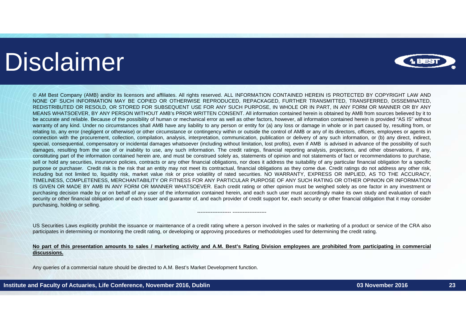# Disclaimer



© AM Best Company (AMB) and/or its licensors and affiliates. All rights reserved. ALL INFORMATION CONTAINED HEREIN IS PROTECTED BY COPYRIGHT LAW AND NONE OF SUCH INFORMATION MAY BE COPIED OR OTHERWISE REPRODUCED, REPACKAGED, FURTHER TRANSMITTED, TRANSFERRED, DISSEMINATED, REDISTRIBUTED OR RESOLD, OR STORED FOR SUBSEQUENT USE FOR ANY SUCH PURPOSE, IN WHOLE OR IN PART, IN ANY FORM OR MANNER OR BY ANY MEANS WHATSOEVER, BY ANY PERSON WITHOUT AMB's PRIOR WRITTEN CONSENT. All information contained herein is obtained by AMB from sources believed by it to be accurate and reliable. Because of the possibility of human or mechanical error as well as other factors, however, all information contained herein is provided "AS IS" without warranty of any kind. Under no circumstances shall AMB have any liability to any person or entity for (a) any loss or damage in whole or in part caused by, resulting from, or relating to, any error (negligent or otherwise) or other circumstance or contingency within or outside the control of AMB or any of its directors, officers, employees or agents in connection with the procurement, collection, compilation, analysis, interpretation, communication, publication or delivery of any such information, or (b) any direct, indirect, special, consequential, compensatory or incidental damages whatsoever (including without limitation, lost profits), even if AMB is advised in advance of the possibility of such damages, resulting from the use of or inability to use, any such information. The credit ratings, financial reporting analysis, projections, and other observations, if any, constituting part of the information contained herein are, and must be construed solely as, statements of opinion and not statements of fact or recommendations to purchase, sell or hold any securities, insurance policies, contracts or any other financial obligations, nor does it address the suitability of any particular financial obligation for a specific purpose or purchaser. Credit risk is the risk that an entity may not meet its contractual, financial obligations as they come due. Credit ratings do not address any other risk, including but not limited to, liquidity risk, market value risk or price volatility of rated securities. NO WARRANTY, EXPRESS OR IMPLIED, AS TO THE ACCURACY, TIMELINESS, COMPLETENESS, MERCHANTABILITY OR FITNESS FOR ANY PARTICULAR PURPOSE OF ANY SUCH RATING OR OTHER OPINION OR INFORMATION IS GIVEN OR MADE BY AMB IN ANY FORM OR MANNER WHATSOEVER. Each credit rating or other opinion must be weighed solely as one factor in any investment or purchasing decision made by or on behalf of any user of the information contained herein, and each such user must accordingly make its own study and evaluation of each security or other financial obligation and of each issuer and guarantor of, and each provider of credit support for, each security or other financial obligation that it may consider purchasing, holding or selling.

US Securities Laws explicitly prohibit the issuance or maintenance of <sup>a</sup> credit rating where <sup>a</sup> person involved in the sales or marketing of <sup>a</sup> product or service of the CRA also participates in determining or monitoring the credit rating, or developing or approving procedures or methodologies used for determining the credit rating.

--------------------

#### No part of this presentation amounts to sales / marketing activity and A.M. Best's Rating Division employees are prohibited from participating in commercial **discussions.**

Any queries of <sup>a</sup> commercial nature should be directed to A.M. Best's Market Development function.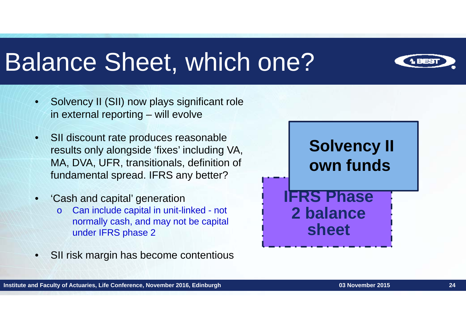# Balance Sheet, which one?



- • Solvency II (SII) now plays significant role in external reporting – will evolve
- • SII discount rate produces reasonable results only alongside 'fixes' including VA, MA, DVA, UFR, transitionals, definition of fundamental spread. IFRS any better?
- • 'Cash and capital' generation
	- o Can include capital in unit-linked - not normally cash, and may not be capital under IFRS phase 2
- •SII risk margin has become contentious

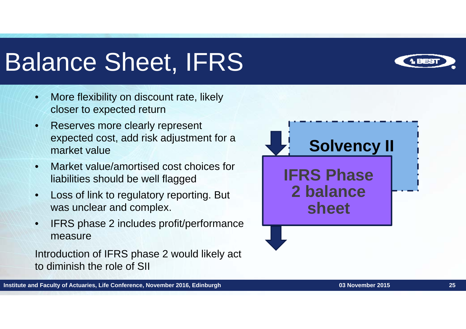# Balance Sheet, IFRS

- • More flexibility on discount rate, likely closer to expected return
- • Reserves more clearly represent expected cost, add risk adjustment for a market value
- • Market value/amortised cost choices for liabilities should be well flagged
- • Loss of link to regulatory reporting. But was unclear and complex.
- • IFRS phase 2 includes profit/performance measure

Introduction of IFRS phase 2 would likely act to diminish the role of SII



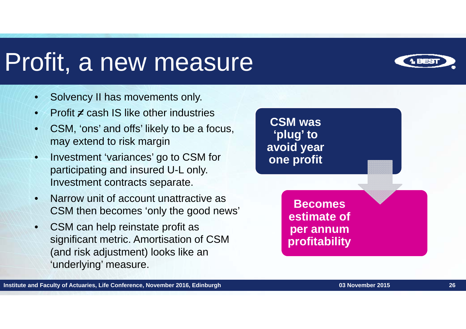# Profit, a new measure



- •Solvency II has movements only.
- •Profit  $\neq$  cash IS like other industries
- • CSM, 'ons' and offs' likely to be a focus, may extend to risk margin
- • Investment 'variances' go to CSM for participating and insured U-L only. Investment contracts separate.
- • Narrow unit of account unattractive as CSM then becomes 'only the good news'
- • CSM can help reinstate profit as significant metric. Amortisation of CSM (and risk adjustment) looks like an 'underlying' measure.

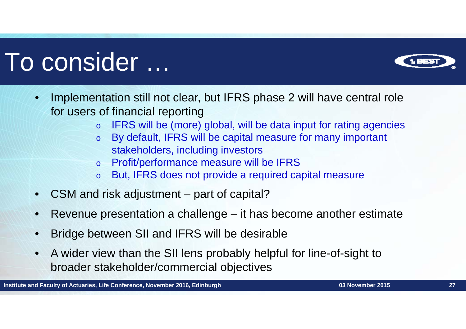# To consider …



- o IFRS will be (more) global, will be data input for rating agencies
- o By default, IFRS will be capital measure for many important stakeholders, including investors
- oProfit/performance measure will be IFRS
- oBut, IFRS does not provide a required capital measure
- •CSM and risk adjustment – part of capital?
- •Revenue presentation a challenge – it has become another estimate
- •Bridge between SII and IFRS will be desirable
- • A wider view than the SII lens probably helpful for line-of-sight to broader stakeholder/commercial objectives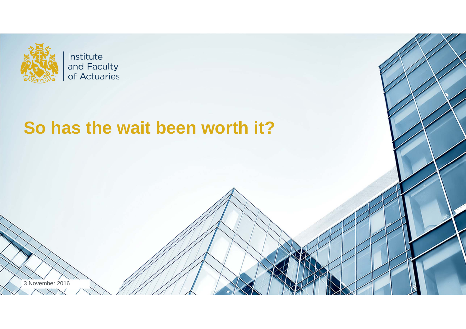

Institute and Faculty of Actuaries

# **So has the wait been worth it?**